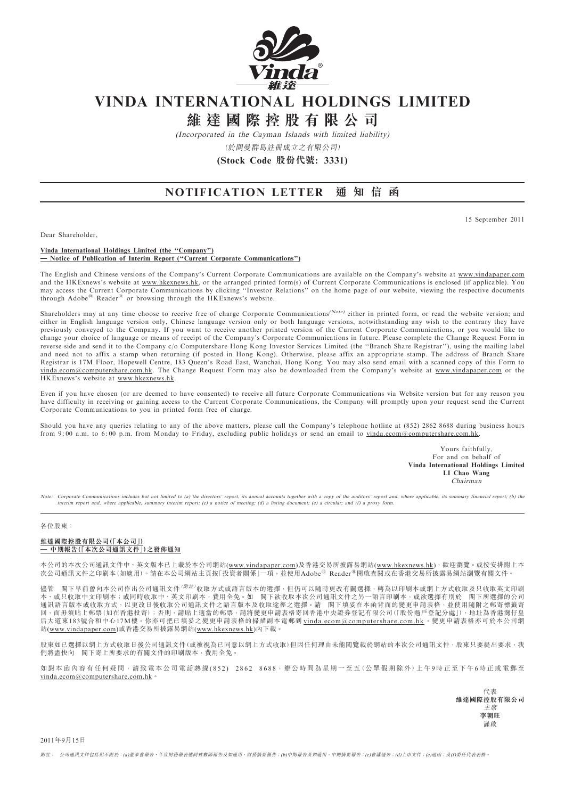

## VINDA INTERNATIONAL HOLDINGS LIMITED

維 達 國 際 控 股 有 限 公 司

(Incorporated in the Cayman Islands with limited liability)

(於開曼群島註冊成立之有限公司)

(Stock Code 股份代號: 3331)

## NOTIFICATION LETTER 通 知 信 函

15 September 2011

Dear Shareholder,

## Vinda International Holdings Limited (the ''Company'') — Notice of Publication of Interim Report (''Current Corporate Communications'')

The English and Chinese versions of the Company's Current Corporate Communications are available on the Company's website at www.vindapaper.com and the HKExnews's website at www.hkexnews.hk, or the arranged printed form(s) of Current Corporate Communications is enclosed (if applicable). You may access the Current Corporate Communications by clicking ''Investor Relations'' on the home page of our website, viewing the respective documents through  $\text{Adobe}^{\circledR}$  Reader<sup>®</sup> or browsing through the HKExnews's website.

Shareholders may at any time choose to receive free of charge Corporate Communications<sup>(Note)</sup> either in printed form, or read the website version; and either in English language version only, Chinese language version only or both language versions, notwithstanding any wish to the contrary they have previously conveyed to the Company. If you want to receive another printed version of the Current Corporate Communications, or you would like to change your choice of language or means of receipt of the Company's Corporate Communications in future. Please complete the Change Request Form in reverse side and send it to the Company c/o Computershare Hong Kong Investor Services Limited (the ''Branch Share Registrar''), using the mailing label and need not to affix a stamp when returning (if posted in Hong Kong). Otherwise, please affix an appropriate stamp. The address of Branch Share Registrar is 17M Floor, Hopewell Centre, 183 Queen's Road East, Wanchai, Hong Kong. You may also send email with a scanned copy of this Form to vinda.ecom@computershare.com.hk. The Change Request Form may also be downloaded from the Company's website at www.vindapaper.com or the HKExnews's website at www.hkexnews.hk.

Even if you have chosen (or are deemed to have consented) to receive all future Corporate Communications via Website version but for any reason you have difficulty in receiving or gaining access to the Current Corporate Communications, the Company will promptly upon your request send the Current Corporate Communications to you in printed form free of charge.

Should you have any queries relating to any of the above matters, please call the Company's telephone hotline at (852) 2862 8688 during business hours from 9:00 a.m. to 6:00 p.m. from Monday to Friday, excluding public holidays or send an email to vinda.ecom@computershare.com.hk

> Yours faithfully, For and on behalf of Vinda International Holdings Limited LI Chao Wang Chairman

Note: Corporate Communications includes but not limited to (a) the directors' report, its annual accounts together with a copy of the auditors' report and, where applicable, its summary financial report; (b) the interim report and, where applicable, summary interim report; (c) <sup>a</sup> notice of meeting; (d) <sup>a</sup> listing document; (e) <sup>a</sup> circular; and (f) <sup>a</sup> proxy form.

各位股東:

## 維達國際控股有限公司(「本公司」) — 中期報告(「本次公司通訊文件」)之發佈通知

本公司的本次公司通訊文件中、英文版本已上載於本公司網站(<u>www.vindapaper.com</u>)及香港交易所披露易網站(<u>www.hkexnews.hk</u>),歡迎瀏覽。或按安排附上本 次公司通訊文件之印刷本(如適用)。請在本公司網站主頁按「投資者關係」一項,並使用Adobe<sup>®</sup> Reader<sup>®</sup>開啟查閲或在香港交易所披露易網站瀏覽有關文件。

儘管 閣下早前曾向本公司作出公司通訊文件<sup>(附註)</sup>收取方式或語言版本的選擇,但仍可以隨時更改有關選擇,轉為以印刷本或網上方式收取及只收取英文印刷 本、或只收取中文印刷本;或同時收取中、英文印刷本,費用全免。如 閣下欲收取本次公司通訊文件之另一語言印刷本,或欲選擇有別於 閣下所選擇的公司 通訊語言版本或收取方式,以更改日後收取公司通訊文件之語言版本及收取途徑之選擇。請 閣下填妥在本函背面的變更申請表格,並使用隨附之郵寄標籤寄 回,而毋須貼上郵票(如在香港投寄);否則,請貼上適當的郵票,請將變更申請表格寄回香港中央證券登記有限公司(「股份過戶登記分處」),地址為香港灣仔皇 后大道東183號合和中心17M樓。你亦可把已填妥之變更申請表格的掃描副本電郵到 [vinda.ecom@computershare.com.hk](mailto:vinda.ecom@computershare.com.hk) 。變更申請表格亦可於本公司網 站(www.vindapaper.com)或香港交易所披露易網站(www.hkexnews.hk)內下載。

股東如已選擇以網上方式收取日後公司通訊文件(或被視為已同意以網上方式收取)但因任何理由未能閲覽載於網站的本次公司通訊文件,股東只要提出要求,我 們將盡快向 閣下寄上所要求的有關文件的印刷版本,費用全免。

如對本函內容有任何疑問,請致電本公司電話熱線(852) 2862 8688,辦公時間為星期一至五(公眾假期除外)上午9時正至下午6時正或電郵至 [vinda.ecom@computershare.com.hk](mailto:vinda.ecom@computershare.com.hk)。

> 代表 維達國際控股有限公司 主席 李朝旺 謹啟

2011年9月15日

附註: 公司通訊文件包括但不限於:(a)董事會報告、年度財務報表連同核數師報告及如適用,財務摘要報告;(b)中期報告及如適用,中期摘要報告;(c)會議通告;(d)上市文件;(e)通函;及(f)委任代表表格。